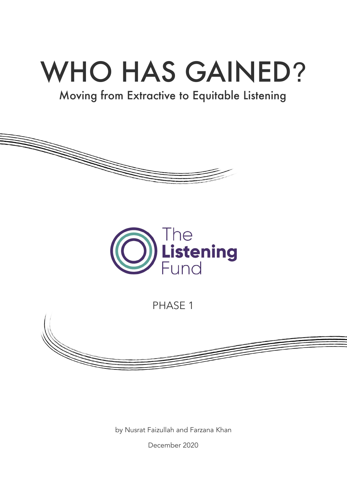# WHO HAS GAINED?

# Moving from Extractive to Equitable Listening





PHASE 1



by Nusrat Faizullah and Farzana Khan

December 2020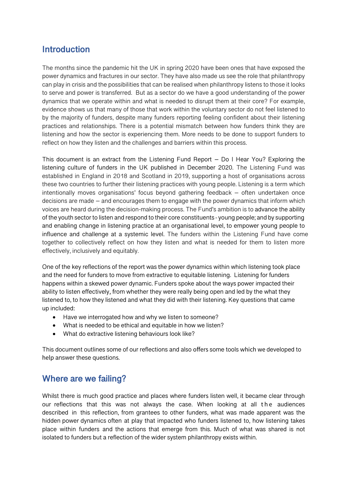### **Introduction**

The months since the pandemic hit the UK in spring 2020 have been ones that have exposed the power dynamics and fractures in our sector. They have also made us see the role that philanthropy can play in crisis and the possibilities that can be realised when philanthropy listens to those it looks to serve and power is transferred. But as a sector do we have a good understanding of the power dynamics that we operate within and what is needed to disrupt them at their core? For example, evidence shows us that many of those that work within the voluntary sector do not feel listened to by the majority of funders, despite many funders reporting feeling confident about their listening practices and relationships. There is a potential mismatch between how funders think they are listening and how the sector is experiencing them. More needs to be done to support funders to reflect on how they listen and the challenges and barriers within this process.

This document is an extract from the Listening Fund Report – Do I Hear You? Exploring the listening culture of funders in the UK published in December 2020. The Listening Fund was established in England in 2018 and Scotland in 2019, supporting a host of organisations across these two countries to further their listening practices with young people. Listening is a term which intentionally moves organisations' focus beyond gathering feedback – often undertaken once decisions are made – and encourages them to engage with the power dynamics that inform which voices are heard during the decision-making process. The Fund's ambition is to advance the ability of the youth sector to listen and respond to their core constituents - young people; and by supporting and enabling change in listening practice at an organisational level, to empower young people to influence and challenge at a systemic level. The funders within the Listening Fund have come together to collectively reflect on how they listen and what is needed for them to listen more effectively, inclusively and equitably.

One of the key reflections of the report was the power dynamics within which listening took place and the need for funders to move from extractive to equitable listening. Listening for funders happens within a skewed power dynamic. Funders spoke about the ways power impacted their ability to listen effectively, from whether they were really being open and led by the what they listened to, to how they listened and what they did with their listening. Key questions that came up included:

- Have we interrogated how and why we listen to someone?
- What is needed to be ethical and equitable in how we listen?
- What do extractive listening behaviours look like?

This document outlines some of our reflections and also offers some tools which we developed to help answer these questions.

#### **Where are we failing?**

Whilst there is much good practice and places where funders listen well, it became clear through our reflections that this was not always the case. When looking at all the audiences described in this reflection, from grantees to other funders, what was made apparent was the hidden power dynamics often at play that impacted who funders listened to, how listening takes place within funders and the actions that emerge from this. Much of what was shared is not isolated to funders but a reflection of the wider system philanthropy exists within.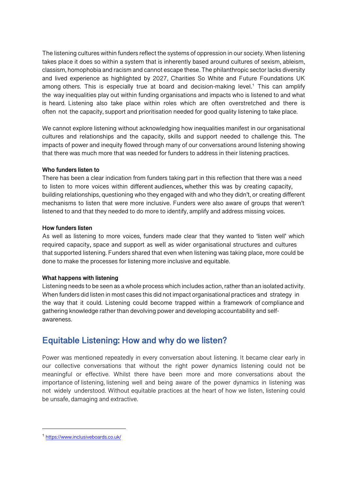The listening cultures within funders reflect the systems of oppression in our society. When listening takes place it does so within a system that is inherently based around cultures of sexism, ableism, classism, homophobia and racism and cannot escape these. The philanthropic sector lacks diversity and lived experience as highlighted by 2027, Charities So White and Future Foundations UK among others. This is especially true at board and decision-making level. <sup>1</sup> This can amplify the way inequalities play out within funding organisations and impacts who is listened to and what is heard. Listening also take place within roles which are often overstretched and there is often not the capacity, support and prioritisation needed for good quality listening to take place.

We cannot explore listening without acknowledging how inequalities manifest in our organisational cultures and relationships and the capacity, skills and support needed to challenge this. The impacts of power and inequity flowed through many of our conversations around listening showing that there was much more that was needed for funders to address in their listening practices.

#### **Who funders listen to**

There has been a clear indication from funders taking part in this reflection that there was a need to listen to more voices within different audiences, whether this was by creating capacity, building relationships, questioning who they engaged with and who they didn't, or creating different mechanisms to listen that were more inclusive. Funders were also aware of groups that weren't listened to and that they needed to do more to identify, amplify and address missing voices.

#### **How funders listen**

As well as listening to more voices, funders made clear that they wanted to 'listen well' which required capacity, space and support as well as wider organisational structures and cultures that supported listening. Funders shared that even when listening was taking place, more could be done to make the processes for listening more inclusive and equitable.

#### **What happens with listening**

Listening needs to be seen as a whole process which includes action, rather than an isolated activity. When funders did listen in most cases this did not impact organisational practices and strategy in the way that it could. Listening could become trapped within a framework of compliance and gathering knowledge rather than devolving power and developing accountability and selfawareness.

#### **Equitable Listening: How and why do we listen?**

Power was mentioned repeatedly in every conversation about listening. It became clear early in our collective conversations that without the right power dynamics listening could not be meaningful or effective. Whilst there have been more and more conversations about the importance of listening, listening well and being aware of the power dynamics in listening was not widely understood. Without equitable practices at the heart of how we listen, listening could be unsafe, damaging and extractive.

<sup>1</sup> https://www.inclusiveboards.co.uk/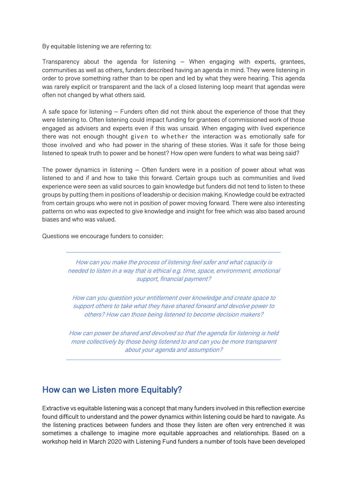#### By equitable listening we are referring to:

Transparency about the agenda for listening – When engaging with experts, grantees, communities as well as others, funders described having an agenda in mind. They were listening in order to prove something rather than to be open and led by what they were hearing. This agenda was rarely explicit or transparent and the lack of a closed listening loop meant that agendas were often not changed by what others said.

A safe space for listening – Funders often did not think about the experience of those that they were listening to. Often listening could impact funding for grantees of commissioned work of those engaged as advisers and experts even if this was unsaid. When engaging with lived experience there was not enough thought given to whether the interaction was emotionally safe for those involved and who had power in the sharing of these stories. Was it safe for those being listened to speak truth to power and be honest? How open were funders to what was being said?

The power dynamics in listening – Often funders were in a position of power about what was listened to and if and how to take this forward. Certain groups such as communities and lived experience were seen as valid sources to gain knowledge but funders did not tend to listen to these groups by putting them in positions of leadership or decision making. Knowledge could be extracted from certain groups who were not in position of power moving forward. There were also interesting patterns on who was expected to give knowledge and insight for free which was also based around biases and who was valued.

Questions we encourage funders to consider:

How can you make the process of listening feel safer and what capacity is needed to listen in a way that is ethical e.g. time, space, environment, emotional support, financial payment?

How can you question your entitlement over knowledge and create space to support others to take what they have shared forward and devolve power to others? How can those being listened to become decision makers?

How can power be shared and devolved so that the agenda for listening is held more collectively by those being listened to and can you be more transparent about your agenda and assumption?

## **How can we Listen more Equitably?**

Extractive vs equitable listening was a concept that many funders involved in this reflection exercise found difficult to understand and the power dynamics within listening could be hard to navigate. As the listening practices between funders and those they listen are often very entrenched it was sometimes a challenge to imagine more equitable approaches and relationships. Based on a workshop held in March 2020 with Listening Fund funders a number of tools have been developed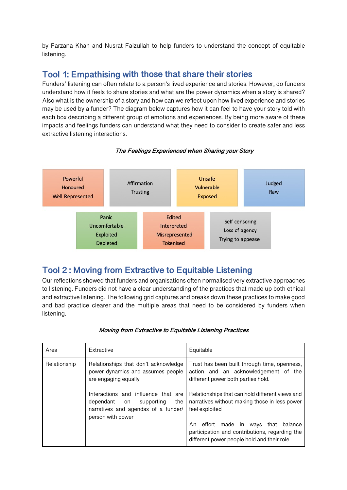by Farzana Khan and Nusrat Faizullah to help funders to understand the concept of equitable listening.

## **Tool 1: Empathising with those that share their stories**

Funders' listening can often relate to a person's lived experience and stories. However, do funders understand how it feels to share stories and what are the power dynamics when a story is shared? Also what is the ownership of a story and how can we reflect upon how lived experience and stories may be used by a funder? The diagram below captures how it can feel to have your story told with each box describing a different group of emotions and experiences. By being more aware of these impacts and feelings funders can understand what they need to consider to create safer and less extractive listening interactions.



#### **The Feelings Experienced when Sharing your Story**

## **Tool 2 : Moving from Extractive to Equitable Listening**

Our reflections showed that funders and organisations often normalised very extractive approaches to listening. Funders did not have a clear understanding of the practices that made up both ethical and extractive listening. The following grid captures and breaks down these practices to make good and bad practice clearer and the multiple areas that need to be considered by funders when listening.

| Area         | Extractive                                                                                                                                                                                                           | Equitable                                                                                                                                                                                                                                        |
|--------------|----------------------------------------------------------------------------------------------------------------------------------------------------------------------------------------------------------------------|--------------------------------------------------------------------------------------------------------------------------------------------------------------------------------------------------------------------------------------------------|
| Relationship | Relationships that don't acknowledge<br>power dynamics and assumes people<br>are engaging equally<br>Interactions and influence that are<br>supporting<br>the<br>dependant on<br>narratives and agendas of a funder/ | Trust has been built through time, openness,<br>action and an acknowledgement of the<br>different power both parties hold.<br>Relationships that can hold different views and<br>narratives without making those in less power<br>feel exploited |
|              | person with power                                                                                                                                                                                                    | effort made in ways that balance<br>An<br>participation and contributions, regarding the<br>different power people hold and their role                                                                                                           |

#### **Moving from Extractive to Equitable Listening Practices**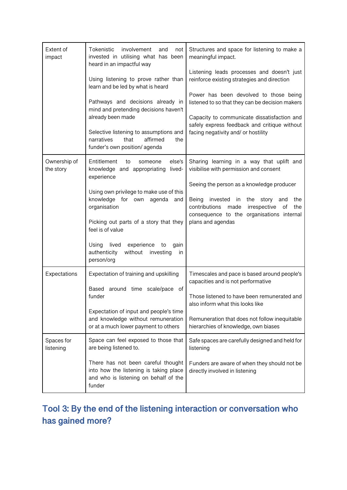| Extent of<br>impact       | Tokenistic<br>involvement<br>and<br>not<br>invested in utilising what has been<br>heard in an impactful way                                                                                            | Structures and space for listening to make a<br>meaningful impact.                                                                                                                                                         |
|---------------------------|--------------------------------------------------------------------------------------------------------------------------------------------------------------------------------------------------------|----------------------------------------------------------------------------------------------------------------------------------------------------------------------------------------------------------------------------|
|                           | Using listening to prove rather than<br>learn and be led by what is heard                                                                                                                              | Listening leads processes and doesn't just<br>reinforce existing strategies and direction                                                                                                                                  |
|                           | Pathways and decisions already in<br>mind and pretending decisions haven't<br>already been made                                                                                                        | Power has been devolved to those being<br>listened to so that they can be decision makers<br>Capacity to communicate dissatisfaction and                                                                                   |
|                           | Selective listening to assumptions and<br>affirmed<br>narratives<br>that<br>the<br>funder's own position/agenda                                                                                        | safely express feedback and critique without<br>facing negativity and/ or hostility                                                                                                                                        |
| Ownership of<br>the story | Entitlement<br>else's<br>to<br>someone<br>knowledge and appropriating<br>lived-<br>experience                                                                                                          | Sharing learning in a way that uplift and<br>visibilise with permission and consent                                                                                                                                        |
|                           | Using own privilege to make use of this<br>knowledge for own agenda<br>and<br>organisation<br>Picking out parts of a story that they<br>feel is of value<br>lived<br>Using<br>experience<br>to<br>gain | Seeing the person as a knowledge producer<br>Being<br>invested<br>the<br>story<br>the<br>in<br>and<br>contributions<br>made<br>irrespective<br>οf<br>the<br>consequence to the organisations internal<br>plans and agendas |
|                           | authenticity<br>without<br>investing<br>in<br>person/org                                                                                                                                               |                                                                                                                                                                                                                            |
| Expectations              | Expectation of training and upskilling                                                                                                                                                                 | Timescales and pace is based around people's<br>capacities and is not performative                                                                                                                                         |
|                           | around time scale/pace of<br>Based<br>funder                                                                                                                                                           | Those listened to have been remunerated and<br>also inform what this looks like                                                                                                                                            |
|                           | Expectation of input and people's time<br>and knowledge without remuneration<br>or at a much lower payment to others                                                                                   | Remuneration that does not follow inequitable<br>hierarchies of knowledge, own biases                                                                                                                                      |
| Spaces for<br>listening   | Space can feel exposed to those that<br>are being listened to.                                                                                                                                         | Safe spaces are carefully designed and held for<br>listening                                                                                                                                                               |
|                           | There has not been careful thought<br>into how the listening is taking place<br>and who is listening on behalf of the<br>funder                                                                        | Funders are aware of when they should not be<br>directly involved in listening                                                                                                                                             |

## **Tool 3: By the end of the listening interaction or conversation who has gained more?**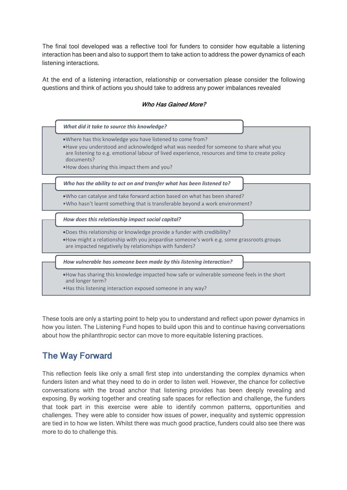The final tool developed was a reflective tool for funders to consider how equitable a listening interaction has been and also to support them to take action to address the power dynamics of each listening interactions.

At the end of a listening interaction, relationship or conversation please consider the following questions and think of actions you should take to address any power imbalances revealed

## •Where has this knowledge you have listened to come from? •Have you understood and acknowledged what was needed for someone to share what you are listening to e.g. emotional labour of lived experience, resources and time to create policy documents? •How does sharing this impact them and you? *What did it take to source this knowledge?* •Who can catalyse and take forward action based on what has been shared? •Who hasn't learnt something that is transferable beyond a work environment? *Who has the ability to act on and transfer what has been listened to?* •Does this relationship or knowledge provide a funder with credibility? •How might a relationship with you jeopardise someone's work e.g. some grassroots groups are impacted negatively by relationships with funders? *How does this relationship impact social capital?* •How has sharing this knowledge impacted how safe or vulnerable someone feels in the short and longer term? •Has this listening interaction exposed someone in any way? *How vulnerable has someone been made by this listening interaction?*

**Who Has Gained More?**

These tools are only a starting point to help you to understand and reflect upon power dynamics in how you listen. The Listening Fund hopes to build upon this and to continue having conversations about how the philanthropic sector can move to more equitable listening practices.

## **The Way Forward**

This reflection feels like only a small first step into understanding the complex dynamics when funders listen and what they need to do in order to listen well. However, the chance for collective conversations with the broad anchor that listening provides has been deeply revealing and exposing. By working together and creating safe spaces for reflection and challenge, the funders that took part in this exercise were able to identify common patterns, opportunities and challenges. They were able to consider how issues of power, inequality and systemic oppression are tied in to how we listen. Whilst there was much good practice, funders could also see there was more to do to challenge this.